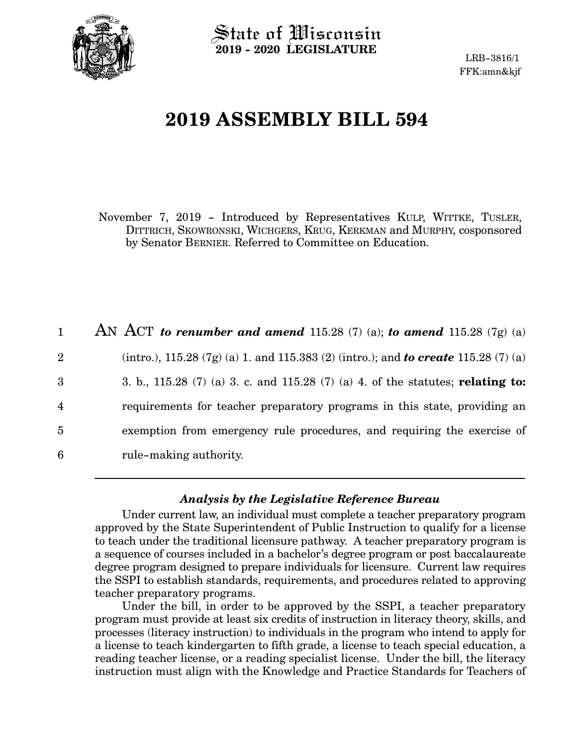

State of Wisconsin **2019 - 2020 LEGISLATURE**

LRB-3816/1 FFK:amn&kjf

# **2019 ASSEMBLY BILL 594**

November 7, 2019 - Introduced by Representatives KULP, WITTKE, TUSLER, DITTRICH, SKOWRONSKI, WICHGERS, KRUG, KERKMAN and MURPHY, cosponsored by Senator BERNIER. Referred to Committee on Education.

AN ACT *to renumber and amend* 115.28 (7) (a); *to amend* 115.28 (7g) (a) (intro.), 115.28 (7g) (a) 1. and 115.383 (2) (intro.); and *to create* 115.28 (7) (a) 3. b., 115.28 (7) (a) 3. c. and 115.28 (7) (a) 4. of the statutes; **relating to:** requirements for teacher preparatory programs in this state, providing an exemption from emergency rule procedures, and requiring the exercise of rule-making authority. 1 2 3 4 5 6

## *Analysis by the Legislative Reference Bureau*

Under current law, an individual must complete a teacher preparatory program approved by the State Superintendent of Public Instruction to qualify for a license to teach under the traditional licensure pathway. A teacher preparatory program is a sequence of courses included in a bachelor's degree program or post baccalaureate degree program designed to prepare individuals for licensure. Current law requires the SSPI to establish standards, requirements, and procedures related to approving teacher preparatory programs.

Under the bill, in order to be approved by the SSPI, a teacher preparatory program must provide at least six credits of instruction in literacy theory, skills, and processes (literacy instruction) to individuals in the program who intend to apply for a license to teach kindergarten to fifth grade, a license to teach special education, a reading teacher license, or a reading specialist license. Under the bill, the literacy instruction must align with the Knowledge and Practice Standards for Teachers of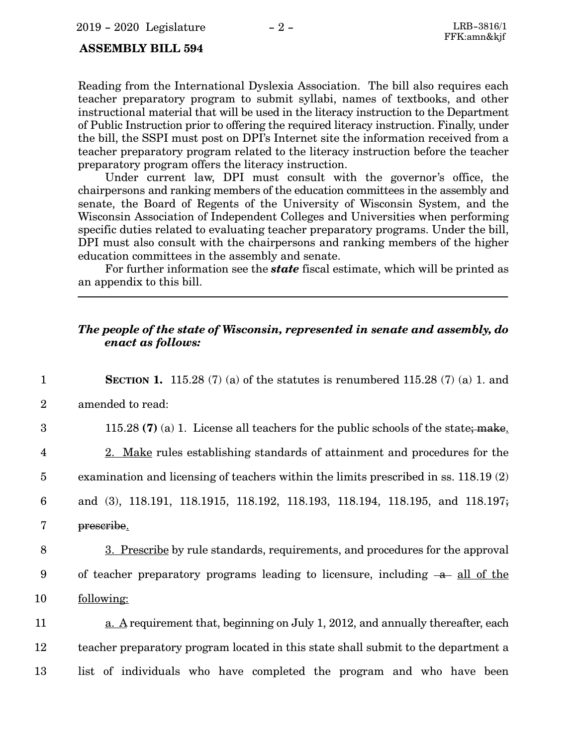#### **ASSEMBLY BILL 594**

Reading from the International Dyslexia Association. The bill also requires each teacher preparatory program to submit syllabi, names of textbooks, and other instructional material that will be used in the literacy instruction to the Department of Public Instruction prior to offering the required literacy instruction. Finally, under the bill, the SSPI must post on DPI's Internet site the information received from a teacher preparatory program related to the literacy instruction before the teacher preparatory program offers the literacy instruction.

Under current law, DPI must consult with the governor's office, the chairpersons and ranking members of the education committees in the assembly and senate, the Board of Regents of the University of Wisconsin System, and the Wisconsin Association of Independent Colleges and Universities when performing specific duties related to evaluating teacher preparatory programs. Under the bill, DPI must also consult with the chairpersons and ranking members of the higher education committees in the assembly and senate.

For further information see the *state* fiscal estimate, which will be printed as an appendix to this bill.

#### *The people of the state of Wisconsin, represented in senate and assembly, do enact as follows:*

| $\mathbf{1}$            | <b>SECTION 1.</b> 115.28 (7) (a) of the statutes is renumbered 115.28 (7) (a) 1. and   |
|-------------------------|----------------------------------------------------------------------------------------|
| $\overline{2}$          | amended to read:                                                                       |
| 3                       | 115.28 (7) (a) 1. License all teachers for the public schools of the state; make.      |
| $\overline{\mathbf{4}}$ | 2. Make rules establishing standards of attainment and procedures for the              |
| $\overline{5}$          | examination and licensing of teachers within the limits prescribed in ss. 118.19 (2)   |
| $6\phantom{1}6$         | and (3), 118.191, 118.1915, 118.192, 118.193, 118.194, 118.195, and 118.197;           |
| 7                       | prescribe.                                                                             |
| 8                       | 3. Prescribe by rule standards, requirements, and procedures for the approval          |
| 9                       | of teacher preparatory programs leading to licensure, including $-a$ all of the        |
| 10                      | following:                                                                             |
| 11                      | <u>a. A</u> requirement that, beginning on July 1, 2012, and annually thereafter, each |
| 12                      | teacher preparatory program located in this state shall submit to the department a     |
| 13                      | list of individuals who have completed the program and who have been                   |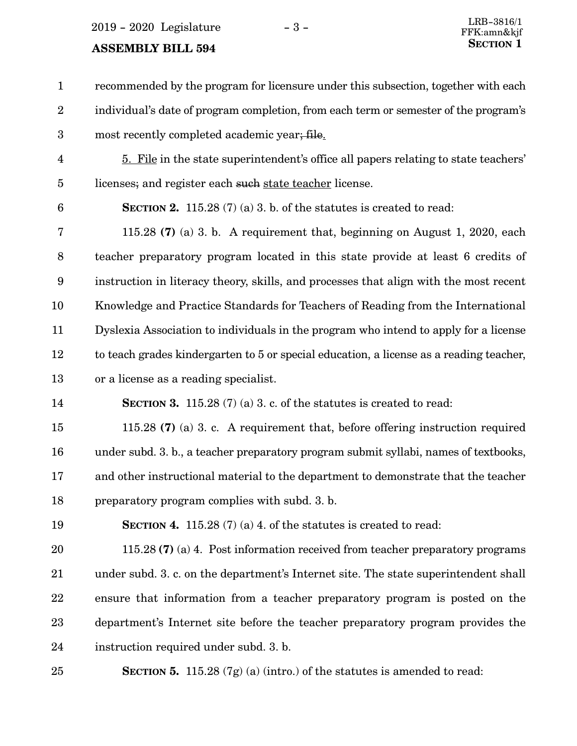$2019 - 2020$  Legislature  $-3 -$ 

#### **ASSEMBLY BILL 594**

recommended by the program for licensure under this subsection, together with each individual's date of program completion, from each term or semester of the program's most recently completed academic year; file. 1 2 3

- 5. File in the state superintendent's office all papers relating to state teachers' licenses; and register each such state teacher license. 4 5
- 6

14

**SECTION 2.** 115.28 (7) (a) 3. b. of the statutes is created to read:

115.28 **(7)** (a) 3. b. A requirement that, beginning on August 1, 2020, each teacher preparatory program located in this state provide at least 6 credits of instruction in literacy theory, skills, and processes that align with the most recent Knowledge and Practice Standards for Teachers of Reading from the International Dyslexia Association to individuals in the program who intend to apply for a license to teach grades kindergarten to 5 or special education, a license as a reading teacher, or a license as a reading specialist. 7 8 9 10 11 12 13

- - **SECTION 3.** 115.28 (7) (a) 3. c. of the statutes is created to read:

115.28 **(7)** (a) 3. c. A requirement that, before offering instruction required under subd. 3. b., a teacher preparatory program submit syllabi, names of textbooks, and other instructional material to the department to demonstrate that the teacher preparatory program complies with subd. 3. b. 15 16 17 18

**SECTION 4.** 115.28 (7) (a) 4. of the statutes is created to read: 19

115.28 **(7)** (a) 4. Post information received from teacher preparatory programs under subd. 3. c. on the department's Internet site. The state superintendent shall ensure that information from a teacher preparatory program is posted on the department's Internet site before the teacher preparatory program provides the instruction required under subd. 3. b. 20 21 22 23 24

25

**SECTION 5.** 115.28 (7g) (a) (intro.) of the statutes is amended to read: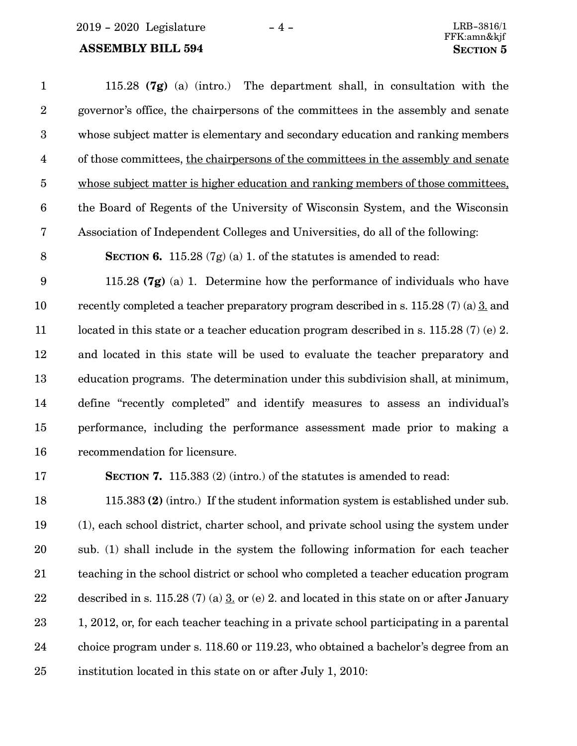2019 - 2020 Legislature - 4 - LRB-3816/1

#### **ASSEMBLY BILL 594 SECTION 5**

115.28 **(7g)** (a) (intro.) The department shall, in consultation with the governor's office, the chairpersons of the committees in the assembly and senate whose subject matter is elementary and secondary education and ranking members of those committees, the chairpersons of the committees in the assembly and senate whose subject matter is higher education and ranking members of those committees, the Board of Regents of the University of Wisconsin System, and the Wisconsin Association of Independent Colleges and Universities, do all of the following: **SECTION 6.** 115.28 (7g) (a) 1. of the statutes is amended to read: 115.28 **(7g)** (a) 1. Determine how the performance of individuals who have recently completed a teacher preparatory program described in s. 115.28 (7) (a) 3. and located in this state or a teacher education program described in s. 115.28 (7) (e) 2. and located in this state will be used to evaluate the teacher preparatory and education programs. The determination under this subdivision shall, at minimum, define "recently completed" and identify measures to assess an individual's performance, including the performance assessment made prior to making a recommendation for licensure. 1 2 3 4 5 6 7 8 9 10 11 12 13 14 15 16

17

**SECTION 7.** 115.383 (2) (intro.) of the statutes is amended to read:

115.383 **(2)** (intro.) If the student information system is established under sub. (1), each school district, charter school, and private school using the system under sub. (1) shall include in the system the following information for each teacher teaching in the school district or school who completed a teacher education program described in s. 115.28 (7) (a)  $\underline{3}$ , or (e) 2. and located in this state on or after January 1, 2012, or, for each teacher teaching in a private school participating in a parental choice program under s. 118.60 or 119.23, who obtained a bachelor's degree from an institution located in this state on or after July 1, 2010: 18 19 20 21 22 23 24 25